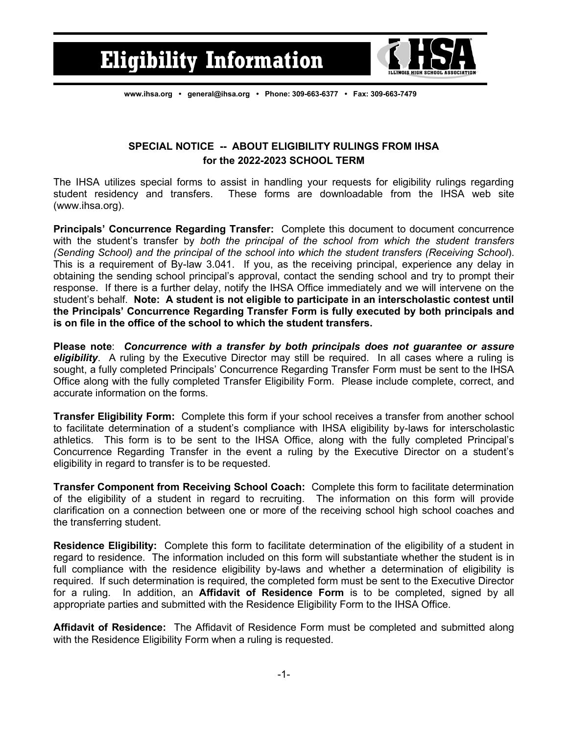## **Eligibility Information**



**[www.ihsa.org](http://www.ihsa.org/) • [general@ihsa.org](mailto:general@ihsa.org) • Phone: 309-663-6377 • Fax: 309-663-7479**

## **SPECIAL NOTICE -- ABOUT ELIGIBILITY RULINGS FROM IHSA for the 2022-2023 SCHOOL TERM**

The IHSA utilizes special forms to assist in handling your requests for eligibility rulings regarding student residency and transfers. These forms are downloadable from the IHSA web site (www.ihsa.org).

**Principals' Concurrence Regarding Transfer:** Complete this document to document concurrence with the student's transfer by *both the principal of the school from which the student transfers (Sending School) and the principal of the school into which the student transfers (Receiving School*). This is a requirement of By-law 3.041. If you, as the receiving principal, experience any delay in obtaining the sending school principal's approval, contact the sending school and try to prompt their response. If there is a further delay, notify the IHSA Office immediately and we will intervene on the student's behalf. **Note: A student is not eligible to participate in an interscholastic contest until the Principals' Concurrence Regarding Transfer Form is fully executed by both principals and is on file in the office of the school to which the student transfers.**

**Please note**: *Concurrence with a transfer by both principals does not guarantee or assure eligibility*. A ruling by the Executive Director may still be required. In all cases where a ruling is sought, a fully completed Principals' Concurrence Regarding Transfer Form must be sent to the IHSA Office along with the fully completed Transfer Eligibility Form. Please include complete, correct, and accurate information on the forms.

**Transfer Eligibility Form:** Complete this form if your school receives a transfer from another school to facilitate determination of a student's compliance with IHSA eligibility by-laws for interscholastic athletics. This form is to be sent to the IHSA Office, along with the fully completed Principal's Concurrence Regarding Transfer in the event a ruling by the Executive Director on a student's eligibility in regard to transfer is to be requested.

**Transfer Component from Receiving School Coach:** Complete this form to facilitate determination of the eligibility of a student in regard to recruiting. The information on this form will provide clarification on a connection between one or more of the receiving school high school coaches and the transferring student.

**Residence Eligibility:** Complete this form to facilitate determination of the eligibility of a student in regard to residence. The information included on this form will substantiate whether the student is in full compliance with the residence eligibility by-laws and whether a determination of eligibility is required. If such determination is required, the completed form must be sent to the Executive Director for a ruling. In addition, an **Affidavit of Residence Form** is to be completed, signed by all appropriate parties and submitted with the Residence Eligibility Form to the IHSA Office.

**Affidavit of Residence:** The Affidavit of Residence Form must be completed and submitted along with the Residence Eligibility Form when a ruling is requested.